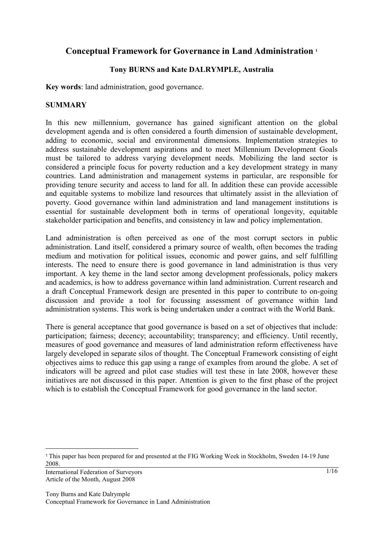# **Conceptual Framework for Governance in Land Administration <sup>1</sup>**

## **Tony BURNS and Kate DALRYMPLE, Australia**

**Key words**: land administration, good governance.

#### **SUMMARY**

In this new millennium, governance has gained significant attention on the global development agenda and is often considered a fourth dimension of sustainable development, adding to economic, social and environmental dimensions. Implementation strategies to address sustainable development aspirations and to meet Millennium Development Goals must be tailored to address varying development needs. Mobilizing the land sector is considered a principle focus for poverty reduction and a key development strategy in many countries. Land administration and management systems in particular, are responsible for providing tenure security and access to land for all. In addition these can provide accessible and equitable systems to mobilize land resources that ultimately assist in the alleviation of poverty. Good governance within land administration and land management institutions is essential for sustainable development both in terms of operational longevity, equitable stakeholder participation and benefits, and consistency in law and policy implementation.

Land administration is often perceived as one of the most corrupt sectors in public administration. Land itself, considered a primary source of wealth, often becomes the trading medium and motivation for political issues, economic and power gains, and self fulfilling interests. The need to ensure there is good governance in land administration is thus very important. A key theme in the land sector among development professionals, policy makers and academics, is how to address governance within land administration. Current research and a draft Conceptual Framework design are presented in this paper to contribute to on-going discussion and provide a tool for focussing assessment of governance within land administration systems. This work is being undertaken under a contract with the World Bank.

There is general acceptance that good governance is based on a set of objectives that include: participation; fairness; decency; accountability; transparency; and efficiency. Until recently, measures of good governance and measures of land administration reform effectiveness have largely developed in separate silos of thought. The Conceptual Framework consisting of eight objectives aims to reduce this gap using a range of examples from around the globe. A set of indicators will be agreed and pilot case studies will test these in late 2008, however these initiatives are not discussed in this paper. Attention is given to the first phase of the project which is to establish the Conceptual Framework for good governance in the land sector.

International Federation of Surveyors Article of the Month, August 2008

 $\overline{a}$ 

<sup>1</sup> This paper has been prepared for and presented at the FIG Working Week in Stockholm, Sweden 14-19 June 2008.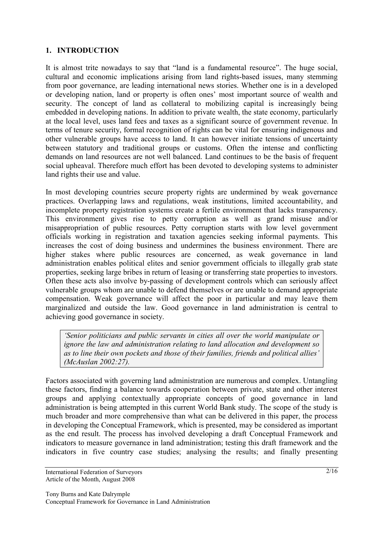### **1. INTRODUCTION**

It is almost trite nowadays to say that "land is a fundamental resource". The huge social, cultural and economic implications arising from land rights-based issues, many stemming from poor governance, are leading international news stories. Whether one is in a developed or developing nation, land or property is often ones' most important source of wealth and security. The concept of land as collateral to mobilizing capital is increasingly being embedded in developing nations. In addition to private wealth, the state economy, particularly at the local level, uses land fees and taxes as a significant source of government revenue. In terms of tenure security, formal recognition of rights can be vital for ensuring indigenous and other vulnerable groups have access to land. It can however initiate tensions of uncertainty between statutory and traditional groups or customs. Often the intense and conflicting demands on land resources are not well balanced. Land continues to be the basis of frequent social upheaval. Therefore much effort has been devoted to developing systems to administer land rights their use and value.

In most developing countries secure property rights are undermined by weak governance practices. Overlapping laws and regulations, weak institutions, limited accountability, and incomplete property registration systems create a fertile environment that lacks transparency. This environment gives rise to petty corruption as well as grand misuse and/or misappropriation of public resources. Petty corruption starts with low level government officials working in registration and taxation agencies seeking informal payments. This increases the cost of doing business and undermines the business environment. There are higher stakes where public resources are concerned, as weak governance in land administration enables political elites and senior government officials to illegally grab state properties, seeking large bribes in return of leasing or transferring state properties to investors. Often these acts also involve by-passing of development controls which can seriously affect vulnerable groups whom are unable to defend themselves or are unable to demand appropriate compensation. Weak governance will affect the poor in particular and may leave them marginalized and outside the law. Good governance in land administration is central to achieving good governance in society.

*'Senior politicians and public servants in cities all over the world manipulate or ignore the law and administration relating to land allocation and development so as to line their own pockets and those of their families, friends and political allies' (McAuslan 2002:27).*

Factors associated with governing land administration are numerous and complex. Untangling these factors, finding a balance towards cooperation between private, state and other interest groups and applying contextually appropriate concepts of good governance in land administration is being attempted in this current World Bank study. The scope of the study is much broader and more comprehensive than what can be delivered in this paper, the process in developing the Conceptual Framework, which is presented, may be considered as important as the end result. The process has involved developing a draft Conceptual Framework and indicators to measure governance in land administration; testing this draft framework and the indicators in five country case studies; analysing the results; and finally presenting

International Federation of Surveyors Article of the Month, August 2008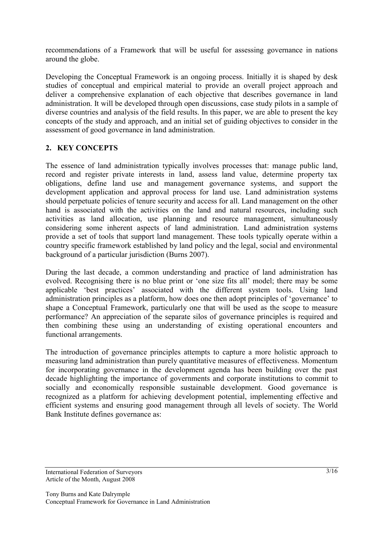recommendations of a Framework that will be useful for assessing governance in nations around the globe.

Developing the Conceptual Framework is an ongoing process. Initially it is shaped by desk studies of conceptual and empirical material to provide an overall project approach and deliver a comprehensive explanation of each objective that describes governance in land administration. It will be developed through open discussions, case study pilots in a sample of diverse countries and analysis of the field results. In this paper, we are able to present the key concepts of the study and approach, and an initial set of guiding objectives to consider in the assessment of good governance in land administration.

## **2. KEY CONCEPTS**

The essence of land administration typically involves processes that: manage public land, record and register private interests in land, assess land value, determine property tax obligations, define land use and management governance systems, and support the development application and approval process for land use. Land administration systems should perpetuate policies of tenure security and access for all. Land management on the other hand is associated with the activities on the land and natural resources, including such activities as land allocation, use planning and resource management, simultaneously considering some inherent aspects of land administration. Land administration systems provide a set of tools that support land management. These tools typically operate within a country specific framework established by land policy and the legal, social and environmental background of a particular jurisdiction (Burns 2007).

During the last decade, a common understanding and practice of land administration has evolved. Recognising there is no blue print or 'one size fits all' model; there may be some applicable 'best practices' associated with the different system tools. Using land administration principles as a platform, how does one then adopt principles of 'governance' to shape a Conceptual Framework, particularly one that will be used as the scope to measure performance? An appreciation of the separate silos of governance principles is required and then combining these using an understanding of existing operational encounters and functional arrangements.

The introduction of governance principles attempts to capture a more holistic approach to measuring land administration than purely quantitative measures of effectiveness. Momentum for incorporating governance in the development agenda has been building over the past decade highlighting the importance of governments and corporate institutions to commit to socially and economically responsible sustainable development. Good governance is recognized as a platform for achieving development potential, implementing effective and efficient systems and ensuring good management through all levels of society. The World Bank Institute defines governance as:

International Federation of Surveyors Article of the Month, August 2008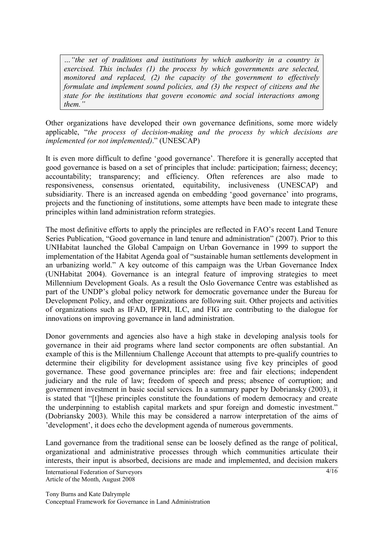*…"the set of traditions and institutions by which authority in a country is exercised. This includes (1) the process by which governments are selected, monitored and replaced, (2) the capacity of the government to effectively formulate and implement sound policies, and (3) the respect of citizens and the state for the institutions that govern economic and social interactions among them."* 

Other organizations have developed their own governance definitions, some more widely applicable, "*the process of decision-making and the process by which decisions are implemented (or not implemented)*." (UNESCAP)

It is even more difficult to define 'good governance'. Therefore it is generally accepted that good governance is based on a set of principles that include: participation; fairness; decency; accountability; transparency; and efficiency. Often references are also made to responsiveness, consensus orientated, equitability, inclusiveness (UNESCAP) and subsidiarity. There is an increased agenda on embedding 'good governance' into programs, projects and the functioning of institutions, some attempts have been made to integrate these principles within land administration reform strategies.

The most definitive efforts to apply the principles are reflected in FAO's recent Land Tenure Series Publication, "Good governance in land tenure and administration" (2007). Prior to this UNHabitat launched the Global Campaign on Urban Governance in 1999 to support the implementation of the Habitat Agenda goal of "sustainable human settlements development in an urbanizing world." A key outcome of this campaign was the Urban Governance Index (UNHabitat 2004). Governance is an integral feature of improving strategies to meet Millennium Development Goals. As a result the Oslo Governance Centre was established as part of the UNDP's global policy network for democratic governance under the Bureau for Development Policy, and other organizations are following suit. Other projects and activities of organizations such as IFAD, IFPRI, ILC, and FIG are contributing to the dialogue for innovations on improving governance in land administration.

Donor governments and agencies also have a high stake in developing analysis tools for governance in their aid programs where land sector components are often substantial. An example of this is the Millennium Challenge Account that attempts to pre-qualify countries to determine their eligibility for development assistance using five key principles of good governance. These good governance principles are: free and fair elections; independent judiciary and the rule of law; freedom of speech and press; absence of corruption; and government investment in basic social services*.* In a summary paper by Dobriansky (2003), it is stated that "[t]hese principles constitute the foundations of modern democracy and create the underpinning to establish capital markets and spur foreign and domestic investment." (Dobriansky 2003). While this may be considered a narrow interpretation of the aims of 'development', it does echo the development agenda of numerous governments.

Land governance from the traditional sense can be loosely defined as the range of political, organizational and administrative processes through which communities articulate their interests, their input is absorbed, decisions are made and implemented, and decision makers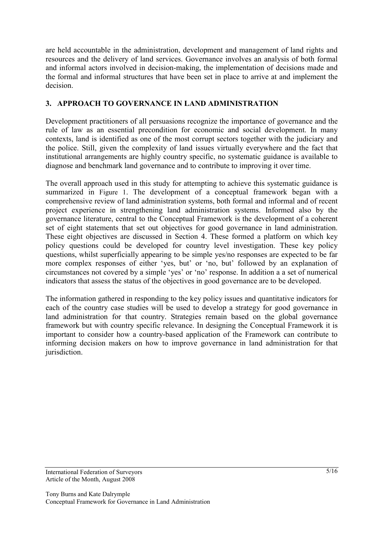are held accountable in the administration, development and management of land rights and resources and the delivery of land services. Governance involves an analysis of both formal and informal actors involved in decision-making, the implementation of decisions made and the formal and informal structures that have been set in place to arrive at and implement the decision.

# **3. APPROACH TO GOVERNANCE IN LAND ADMINISTRATION**

Development practitioners of all persuasions recognize the importance of governance and the rule of law as an essential precondition for economic and social development. In many contexts, land is identified as one of the most corrupt sectors together with the judiciary and the police. Still, given the complexity of land issues virtually everywhere and the fact that institutional arrangements are highly country specific, no systematic guidance is available to diagnose and benchmark land governance and to contribute to improving it over time.

The overall approach used in this study for attempting to achieve this systematic guidance is summarized in Figure 1. The development of a conceptual framework began with a comprehensive review of land administration systems, both formal and informal and of recent project experience in strengthening land administration systems. Informed also by the governance literature, central to the Conceptual Framework is the development of a coherent set of eight statements that set out objectives for good governance in land administration. These eight objectives are discussed in Section 4. These formed a platform on which key policy questions could be developed for country level investigation. These key policy questions, whilst superficially appearing to be simple yes/no responses are expected to be far more complex responses of either 'yes, but' or 'no, but' followed by an explanation of circumstances not covered by a simple 'yes' or 'no' response. In addition a a set of numerical indicators that assess the status of the objectives in good governance are to be developed.

The information gathered in responding to the key policy issues and quantitative indicators for each of the country case studies will be used to develop a strategy for good governance in land administration for that country. Strategies remain based on the global governance framework but with country specific relevance. In designing the Conceptual Framework it is important to consider how a country-based application of the Framework can contribute to informing decision makers on how to improve governance in land administration for that jurisdiction.

International Federation of Surveyors Article of the Month, August 2008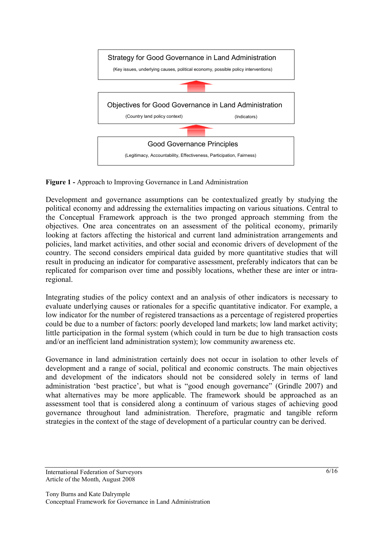

**Figure 1 -** Approach to Improving Governance in Land Administration

Development and governance assumptions can be contextualized greatly by studying the political economy and addressing the externalities impacting on various situations. Central to the Conceptual Framework approach is the two pronged approach stemming from the objectives. One area concentrates on an assessment of the political economy, primarily looking at factors affecting the historical and current land administration arrangements and policies, land market activities, and other social and economic drivers of development of the country. The second considers empirical data guided by more quantitative studies that will result in producing an indicator for comparative assessment, preferably indicators that can be replicated for comparison over time and possibly locations, whether these are inter or intraregional.

Integrating studies of the policy context and an analysis of other indicators is necessary to evaluate underlying causes or rationales for a specific quantitative indicator. For example, a low indicator for the number of registered transactions as a percentage of registered properties could be due to a number of factors: poorly developed land markets; low land market activity; little participation in the formal system (which could in turn be due to high transaction costs and/or an inefficient land administration system); low community awareness etc.

Governance in land administration certainly does not occur in isolation to other levels of development and a range of social, political and economic constructs. The main objectives and development of the indicators should not be considered solely in terms of land administration 'best practice', but what is "good enough governance" (Grindle 2007) and what alternatives may be more applicable. The framework should be approached as an assessment tool that is considered along a continuum of various stages of achieving good governance throughout land administration. Therefore, pragmatic and tangible reform strategies in the context of the stage of development of a particular country can be derived.

International Federation of Surveyors Article of the Month, August 2008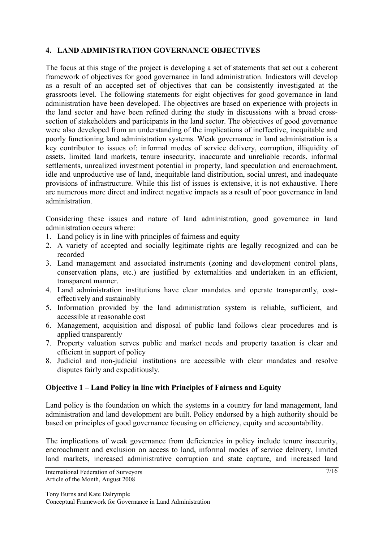## **4. LAND ADMINISTRATION GOVERNANCE OBJECTIVES**

The focus at this stage of the project is developing a set of statements that set out a coherent framework of objectives for good governance in land administration. Indicators will develop as a result of an accepted set of objectives that can be consistently investigated at the grassroots level. The following statements for eight objectives for good governance in land administration have been developed. The objectives are based on experience with projects in the land sector and have been refined during the study in discussions with a broad crosssection of stakeholders and participants in the land sector. The objectives of good governance were also developed from an understanding of the implications of ineffective, inequitable and poorly functioning land administration systems. Weak governance in land administration is a key contributor to issues of: informal modes of service delivery, corruption, illiquidity of assets, limited land markets, tenure insecurity, inaccurate and unreliable records, informal settlements, unrealized investment potential in property, land speculation and encroachment, idle and unproductive use of land, inequitable land distribution, social unrest, and inadequate provisions of infrastructure. While this list of issues is extensive, it is not exhaustive. There are numerous more direct and indirect negative impacts as a result of poor governance in land administration.

Considering these issues and nature of land administration, good governance in land administration occurs where:

- 1. Land policy is in line with principles of fairness and equity
- 2. A variety of accepted and socially legitimate rights are legally recognized and can be recorded
- 3. Land management and associated instruments (zoning and development control plans, conservation plans, etc.) are justified by externalities and undertaken in an efficient, transparent manner.
- 4. Land administration institutions have clear mandates and operate transparently, costeffectively and sustainably
- 5. Information provided by the land administration system is reliable, sufficient, and accessible at reasonable cost
- 6. Management, acquisition and disposal of public land follows clear procedures and is applied transparently
- 7. Property valuation serves public and market needs and property taxation is clear and efficient in support of policy
- 8. Judicial and non-judicial institutions are accessible with clear mandates and resolve disputes fairly and expeditiously.

### **Objective 1 – Land Policy in line with Principles of Fairness and Equity**

Land policy is the foundation on which the systems in a country for land management, land administration and land development are built. Policy endorsed by a high authority should be based on principles of good governance focusing on efficiency, equity and accountability.

The implications of weak governance from deficiencies in policy include tenure insecurity, encroachment and exclusion on access to land, informal modes of service delivery, limited land markets, increased administrative corruption and state capture, and increased land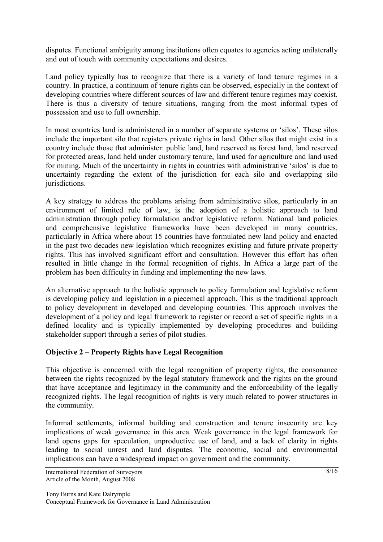disputes. Functional ambiguity among institutions often equates to agencies acting unilaterally and out of touch with community expectations and desires.

Land policy typically has to recognize that there is a variety of land tenure regimes in a country. In practice, a continuum of tenure rights can be observed, especially in the context of developing countries where different sources of law and different tenure regimes may coexist. There is thus a diversity of tenure situations, ranging from the most informal types of possession and use to full ownership.

In most countries land is administered in a number of separate systems or 'silos'. These silos include the important silo that registers private rights in land. Other silos that might exist in a country include those that administer: public land, land reserved as forest land, land reserved for protected areas, land held under customary tenure, land used for agriculture and land used for mining. Much of the uncertainty in rights in countries with administrative 'silos' is due to uncertainty regarding the extent of the jurisdiction for each silo and overlapping silo jurisdictions.

A key strategy to address the problems arising from administrative silos, particularly in an environment of limited rule of law, is the adoption of a holistic approach to land administration through policy formulation and/or legislative reform. National land policies and comprehensive legislative frameworks have been developed in many countries, particularly in Africa where about 15 countries have formulated new land policy and enacted in the past two decades new legislation which recognizes existing and future private property rights. This has involved significant effort and consultation. However this effort has often resulted in little change in the formal recognition of rights. In Africa a large part of the problem has been difficulty in funding and implementing the new laws.

An alternative approach to the holistic approach to policy formulation and legislative reform is developing policy and legislation in a piecemeal approach. This is the traditional approach to policy development in developed and developing countries. This approach involves the development of a policy and legal framework to register or record a set of specific rights in a defined locality and is typically implemented by developing procedures and building stakeholder support through a series of pilot studies.

# **Objective 2 – Property Rights have Legal Recognition**

This objective is concerned with the legal recognition of property rights, the consonance between the rights recognized by the legal statutory framework and the rights on the ground that have acceptance and legitimacy in the community and the enforceability of the legally recognized rights. The legal recognition of rights is very much related to power structures in the community.

Informal settlements, informal building and construction and tenure insecurity are key implications of weak governance in this area. Weak governance in the legal framework for land opens gaps for speculation, unproductive use of land, and a lack of clarity in rights leading to social unrest and land disputes. The economic, social and environmental implications can have a widespread impact on government and the community.

International Federation of Surveyors Article of the Month, August 2008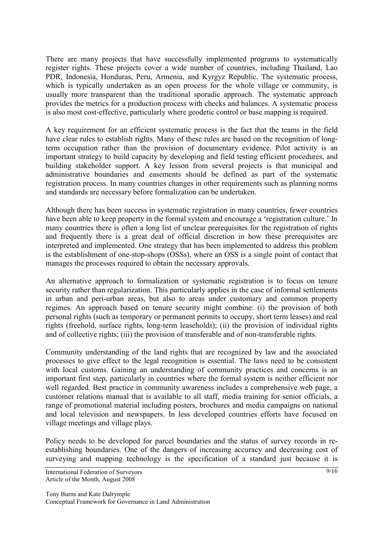There are many projects that have successfully implemented programs to systematically register rights. These projects cover a wide number of countries, including Thailand, Lao PDR, Indonesia, Honduras, Peru, Armenia, and Kyrgyz Republic. The systematic process, which is typically undertaken as an open process for the whole village or community, is usually more transparent than the traditional sporadic approach. The systematic approach provides the metrics for a production process with checks and balances. A systematic process is also most cost-effective, particularly where geodetic control or base mapping is required.

A key requirement for an efficient systematic process is the fact that the teams in the field have clear rules to establish rights. Many of these rules are based on the recognition of longterm occupation rather than the provision of documentary evidence. Pilot activity is an important strategy to build capacity by developing and field testing efficient procedures, and building stakeholder support. A key lesson from several projects is that municipal and administrative boundaries and easements should be defined as part of the systematic registration process. In many countries changes in other requirements such as planning norms and standards are necessary before formalization can be undertaken.

Although there has been success in systematic registration in many countries, fewer countries have been able to keep property in the formal system and encourage a 'registration culture.' In many countries there is often a long list of unclear prerequisites for the registration of rights and frequently there is a great deal of official discretion in how these prerequisites are interpreted and implemented. One strategy that has been implemented to address this problem is the establishment of one-stop-shops (OSSs), where an OSS is a single point of contact that manages the processes required to obtain the necessary approvals.

An alternative approach to formalization or systematic registration is to focus on tenure security rather than regularization. This particularly applies in the case of informal settlements in urban and peri-urban areas, but also to areas under customary and common property regimes. An approach based on tenure security might combine: (i) the provision of both personal rights (such as temporary or permanent permits to occupy, short term leases) and real rights (freehold, surface rights, long-term leaseholds); (ii) the provision of individual rights and of collective rights; (iii) the provision of transferable and of non-transferable rights.

Community understanding of the land rights that are recognized by law and the associated processes to give effect to the legal recognition is essential. The laws need to be consistent with local customs. Gaining an understanding of community practices and concerns is an important first step, particularly in countries where the formal system is neither efficient nor well regarded. Best practice in community awareness includes a comprehensive web page, a customer relations manual that is available to all staff, media training for senior officials, a range of promotional material including posters, brochures and media campaigns on national and local television and newspapers. In less developed countries efforts have focused on village meetings and village plays.

Policy needs to be developed for parcel boundaries and the status of survey records in reestablishing boundaries. One of the dangers of increasing accuracy and decreasing cost of surveying and mapping technology is the specification of a standard just because it is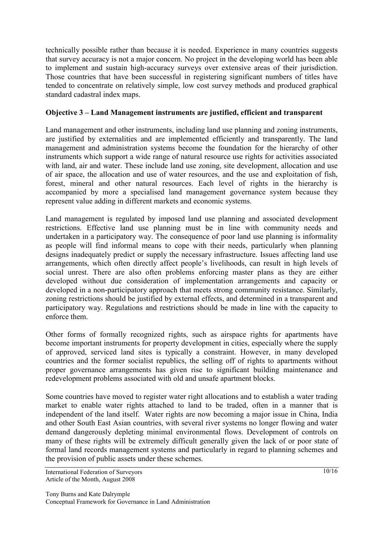technically possible rather than because it is needed. Experience in many countries suggests that survey accuracy is not a major concern. No project in the developing world has been able to implement and sustain high-accuracy surveys over extensive areas of their jurisdiction. Those countries that have been successful in registering significant numbers of titles have tended to concentrate on relatively simple, low cost survey methods and produced graphical standard cadastral index maps.

## **Objective 3 – Land Management instruments are justified, efficient and transparent**

Land management and other instruments, including land use planning and zoning instruments, are justified by externalities and are implemented efficiently and transparently. The land management and administration systems become the foundation for the hierarchy of other instruments which support a wide range of natural resource use rights for activities associated with land, air and water. These include land use zoning, site development, allocation and use of air space, the allocation and use of water resources, and the use and exploitation of fish, forest, mineral and other natural resources. Each level of rights in the hierarchy is accompanied by more a specialised land management governance system because they represent value adding in different markets and economic systems.

Land management is regulated by imposed land use planning and associated development restrictions. Effective land use planning must be in line with community needs and undertaken in a participatory way. The consequence of poor land use planning is informality as people will find informal means to cope with their needs, particularly when planning designs inadequately predict or supply the necessary infrastructure. Issues affecting land use arrangements, which often directly affect people's livelihoods, can result in high levels of social unrest. There are also often problems enforcing master plans as they are either developed without due consideration of implementation arrangements and capacity or developed in a non-participatory approach that meets strong community resistance. Similarly, zoning restrictions should be justified by external effects, and determined in a transparent and participatory way. Regulations and restrictions should be made in line with the capacity to enforce them.

Other forms of formally recognized rights, such as airspace rights for apartments have become important instruments for property development in cities, especially where the supply of approved, serviced land sites is typically a constraint. However, in many developed countries and the former socialist republics, the selling off of rights to apartments without proper governance arrangements has given rise to significant building maintenance and redevelopment problems associated with old and unsafe apartment blocks.

Some countries have moved to register water right allocations and to establish a water trading market to enable water rights attached to land to be traded, often in a manner that is independent of the land itself. Water rights are now becoming a major issue in China, India and other South East Asian countries, with several river systems no longer flowing and water demand dangerously depleting minimal environmental flows. Development of controls on many of these rights will be extremely difficult generally given the lack of or poor state of formal land records management systems and particularly in regard to planning schemes and the provision of public assets under these schemes.

International Federation of Surveyors Article of the Month, August 2008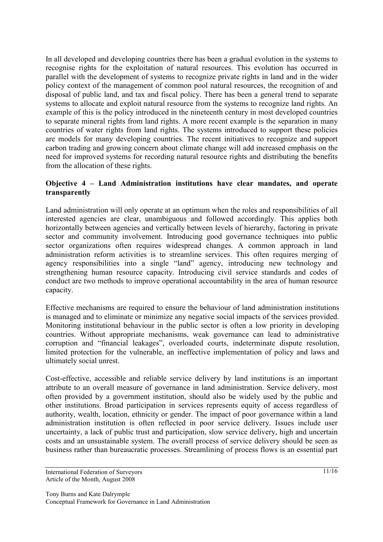In all developed and developing countries there has been a gradual evolution in the systems to recognise rights for the exploitation of natural resources. This evolution has occurred in parallel with the development of systems to recognize private rights in land and in the wider policy context of the management of common pool natural resources, the recognition of and disposal of public land, and tax and fiscal policy. There has been a general trend to separate systems to allocate and exploit natural resource from the systems to recognize land rights. An example of this is the policy introduced in the nineteenth century in most developed countries to separate mineral rights from land rights. A more recent example is the separation in many countries of water rights from land rights. The systems introduced to support these policies are models for many developing countries. The recent initiatives to recognize and support carbon trading and growing concern about climate change will add increased emphasis on the need for improved systems for recording natural resource rights and distributing the benefits from the allocation of these rights.

### **Objective 4 – Land Administration institutions have clear mandates, and operate transparently**

Land administration will only operate at an optimum when the roles and responsibilities of all interested agencies are clear, unambiguous and followed accordingly. This applies both horizontally between agencies and vertically between levels of hierarchy, factoring in private sector and community involvement. Introducing good governance techniques into public sector organizations often requires widespread changes. A common approach in land administration reform activities is to streamline services. This often requires merging of agency responsibilities into a single "land" agency, introducing new technology and strengthening human resource capacity. Introducing civil service standards and codes of conduct are two methods to improve operational accountability in the area of human resource capacity.

Effective mechanisms are required to ensure the behaviour of land administration institutions is managed and to eliminate or minimize any negative social impacts of the services provided. Monitoring institutional behaviour in the public sector is often a low priority in developing countries. Without appropriate mechanisms, weak governance can lead to administrative corruption and "financial leakages", overloaded courts, indeterminate dispute resolution, limited protection for the vulnerable, an ineffective implementation of policy and laws and ultimately social unrest.

Cost-effective, accessible and reliable service delivery by land institutions is an important attribute to an overall measure of governance in land administration. Service delivery, most often provided by a government institution, should also be widely used by the public and other institutions. Broad participation in services represents equity of access regardless of authority, wealth, location, ethnicity or gender. The impact of poor governance within a land administration institution is often reflected in poor service delivery. Issues include user uncertainty, a lack of public trust and participation, slow service delivery, high and uncertain costs and an unsustainable system. The overall process of service delivery should be seen as business rather than bureaucratic processes. Streamlining of process flows is an essential part

International Federation of Surveyors Article of the Month, August 2008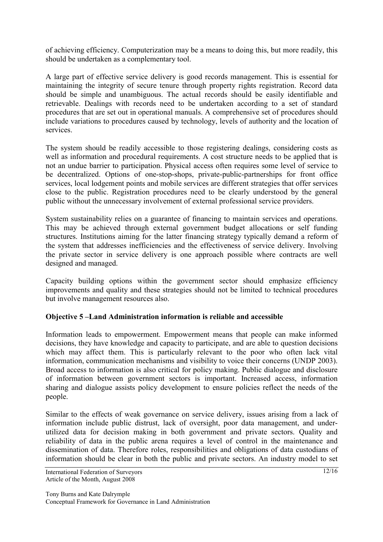of achieving efficiency. Computerization may be a means to doing this, but more readily, this should be undertaken as a complementary tool.

A large part of effective service delivery is good records management. This is essential for maintaining the integrity of secure tenure through property rights registration. Record data should be simple and unambiguous. The actual records should be easily identifiable and retrievable. Dealings with records need to be undertaken according to a set of standard procedures that are set out in operational manuals. A comprehensive set of procedures should include variations to procedures caused by technology, levels of authority and the location of services.

The system should be readily accessible to those registering dealings, considering costs as well as information and procedural requirements. A cost structure needs to be applied that is not an undue barrier to participation. Physical access often requires some level of service to be decentralized. Options of one-stop-shops, private-public-partnerships for front office services, local lodgement points and mobile services are different strategies that offer services close to the public. Registration procedures need to be clearly understood by the general public without the unnecessary involvement of external professional service providers.

System sustainability relies on a guarantee of financing to maintain services and operations. This may be achieved through external government budget allocations or self funding structures. Institutions aiming for the latter financing strategy typically demand a reform of the system that addresses inefficiencies and the effectiveness of service delivery. Involving the private sector in service delivery is one approach possible where contracts are well designed and managed.

Capacity building options within the government sector should emphasize efficiency improvements and quality and these strategies should not be limited to technical procedures but involve management resources also.

### **Objective 5 –Land Administration information is reliable and accessible**

Information leads to empowerment. Empowerment means that people can make informed decisions, they have knowledge and capacity to participate, and are able to question decisions which may affect them. This is particularly relevant to the poor who often lack vital information, communication mechanisms and visibility to voice their concerns (UNDP 2003). Broad access to information is also critical for policy making. Public dialogue and disclosure of information between government sectors is important. Increased access, information sharing and dialogue assists policy development to ensure policies reflect the needs of the people.

Similar to the effects of weak governance on service delivery, issues arising from a lack of information include public distrust, lack of oversight, poor data management, and underutilized data for decision making in both government and private sectors. Quality and reliability of data in the public arena requires a level of control in the maintenance and dissemination of data. Therefore roles, responsibilities and obligations of data custodians of information should be clear in both the public and private sectors. An industry model to set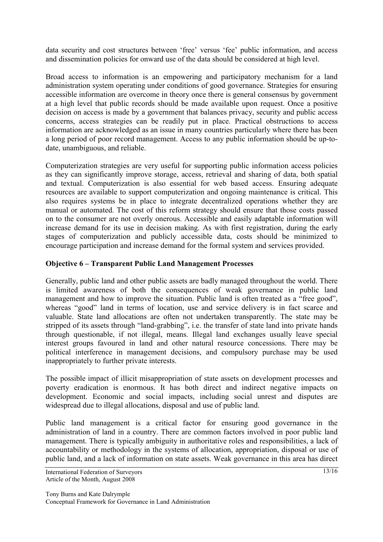data security and cost structures between 'free' versus 'fee' public information, and access and dissemination policies for onward use of the data should be considered at high level.

Broad access to information is an empowering and participatory mechanism for a land administration system operating under conditions of good governance. Strategies for ensuring accessible information are overcome in theory once there is general consensus by government at a high level that public records should be made available upon request. Once a positive decision on access is made by a government that balances privacy, security and public access concerns, access strategies can be readily put in place. Practical obstructions to access information are acknowledged as an issue in many countries particularly where there has been a long period of poor record management. Access to any public information should be up-todate, unambiguous, and reliable.

Computerization strategies are very useful for supporting public information access policies as they can significantly improve storage, access, retrieval and sharing of data, both spatial and textual. Computerization is also essential for web based access. Ensuring adequate resources are available to support computerization and ongoing maintenance is critical. This also requires systems be in place to integrate decentralized operations whether they are manual or automated. The cost of this reform strategy should ensure that those costs passed on to the consumer are not overly onerous. Accessible and easily adaptable information will increase demand for its use in decision making. As with first registration, during the early stages of computerization and publicly accessible data, costs should be minimized to encourage participation and increase demand for the formal system and services provided.

## **Objective 6 – Transparent Public Land Management Processes**

Generally, public land and other public assets are badly managed throughout the world. There is limited awareness of both the consequences of weak governance in public land management and how to improve the situation. Public land is often treated as a "free good", whereas "good" land in terms of location, use and service delivery is in fact scarce and valuable. State land allocations are often not undertaken transparently. The state may be stripped of its assets through "land-grabbing", i.e. the transfer of state land into private hands through questionable, if not illegal, means. Illegal land exchanges usually leave special interest groups favoured in land and other natural resource concessions. There may be political interference in management decisions, and compulsory purchase may be used inappropriately to further private interests.

The possible impact of illicit misappropriation of state assets on development processes and poverty eradication is enormous. It has both direct and indirect negative impacts on development. Economic and social impacts, including social unrest and disputes are widespread due to illegal allocations, disposal and use of public land.

Public land management is a critical factor for ensuring good governance in the administration of land in a country. There are common factors involved in poor public land management. There is typically ambiguity in authoritative roles and responsibilities, a lack of accountability or methodology in the systems of allocation, appropriation, disposal or use of public land, and a lack of information on state assets. Weak governance in this area has direct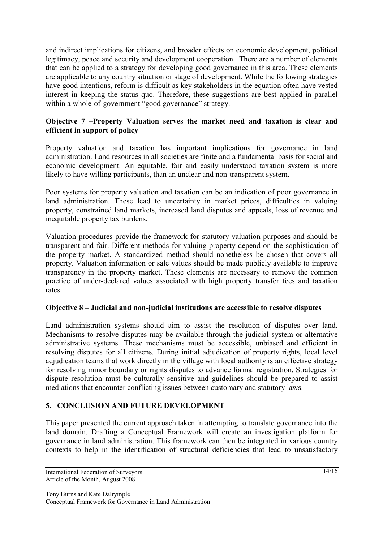and indirect implications for citizens, and broader effects on economic development, political legitimacy, peace and security and development cooperation. There are a number of elements that can be applied to a strategy for developing good governance in this area. These elements are applicable to any country situation or stage of development. While the following strategies have good intentions, reform is difficult as key stakeholders in the equation often have vested interest in keeping the status quo. Therefore, these suggestions are best applied in parallel within a whole-of-government "good governance" strategy.

## **Objective 7 –Property Valuation serves the market need and taxation is clear and efficient in support of policy**

Property valuation and taxation has important implications for governance in land administration. Land resources in all societies are finite and a fundamental basis for social and economic development. An equitable, fair and easily understood taxation system is more likely to have willing participants, than an unclear and non-transparent system.

Poor systems for property valuation and taxation can be an indication of poor governance in land administration. These lead to uncertainty in market prices, difficulties in valuing property, constrained land markets, increased land disputes and appeals, loss of revenue and inequitable property tax burdens.

Valuation procedures provide the framework for statutory valuation purposes and should be transparent and fair. Different methods for valuing property depend on the sophistication of the property market. A standardized method should nonetheless be chosen that covers all property. Valuation information or sale values should be made publicly available to improve transparency in the property market. These elements are necessary to remove the common practice of under-declared values associated with high property transfer fees and taxation rates.

### **Objective 8 – Judicial and non-judicial institutions are accessible to resolve disputes**

Land administration systems should aim to assist the resolution of disputes over land. Mechanisms to resolve disputes may be available through the judicial system or alternative administrative systems. These mechanisms must be accessible, unbiased and efficient in resolving disputes for all citizens. During initial adjudication of property rights, local level adjudication teams that work directly in the village with local authority is an effective strategy for resolving minor boundary or rights disputes to advance formal registration. Strategies for dispute resolution must be culturally sensitive and guidelines should be prepared to assist mediations that encounter conflicting issues between customary and statutory laws.

# **5. CONCLUSION AND FUTURE DEVELOPMENT**

This paper presented the current approach taken in attempting to translate governance into the land domain. Drafting a Conceptual Framework will create an investigation platform for governance in land administration. This framework can then be integrated in various country contexts to help in the identification of structural deficiencies that lead to unsatisfactory

International Federation of Surveyors Article of the Month, August 2008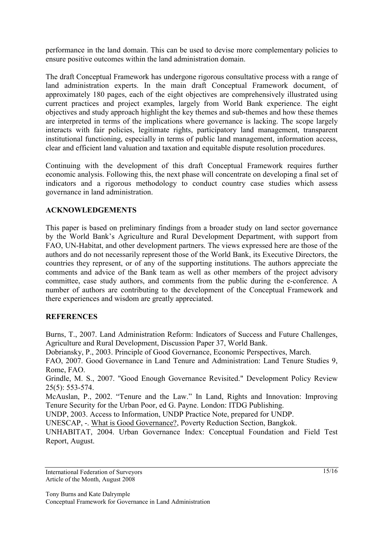performance in the land domain. This can be used to devise more complementary policies to ensure positive outcomes within the land administration domain.

The draft Conceptual Framework has undergone rigorous consultative process with a range of land administration experts. In the main draft Conceptual Framework document, of approximately 180 pages, each of the eight objectives are comprehensively illustrated using current practices and project examples, largely from World Bank experience. The eight objectives and study approach highlight the key themes and sub-themes and how these themes are interpreted in terms of the implications where governance is lacking. The scope largely interacts with fair policies, legitimate rights, participatory land management, transparent institutional functioning, especially in terms of public land management, information access, clear and efficient land valuation and taxation and equitable dispute resolution procedures.

Continuing with the development of this draft Conceptual Framework requires further economic analysis. Following this, the next phase will concentrate on developing a final set of indicators and a rigorous methodology to conduct country case studies which assess governance in land administration.

## **ACKNOWLEDGEMENTS**

This paper is based on preliminary findings from a broader study on land sector governance by the World Bank's Agriculture and Rural Development Department, with support from FAO, UN-Habitat, and other development partners. The views expressed here are those of the authors and do not necessarily represent those of the World Bank, its Executive Directors, the countries they represent, or of any of the supporting institutions. The authors appreciate the comments and advice of the Bank team as well as other members of the project advisory committee, case study authors, and comments from the public during the e-conference. A number of authors are contributing to the development of the Conceptual Framework and there experiences and wisdom are greatly appreciated.

# **REFERENCES**

Burns, T., 2007. Land Administration Reform: Indicators of Success and Future Challenges, Agriculture and Rural Development, Discussion Paper 37, World Bank.

Dobriansky, P., 2003. Principle of Good Governance, Economic Perspectives, March.

FAO, 2007. Good Governance in Land Tenure and Administration: Land Tenure Studies 9, Rome, FAO.

Grindle, M. S., 2007. "Good Enough Governance Revisited." Development Policy Review 25(5): 553-574.

McAuslan, P., 2002. "Tenure and the Law." In Land, Rights and Innovation: Improving Tenure Security for the Urban Poor, ed G. Payne. London: ITDG Publishing.

UNDP, 2003. Access to Information, UNDP Practice Note, prepared for UNDP.

UNESCAP, -. What is Good Governance?, Poverty Reduction Section, Bangkok.

UNHABITAT, 2004. Urban Governance Index: Conceptual Foundation and Field Test Report, August.

International Federation of Surveyors Article of the Month, August 2008